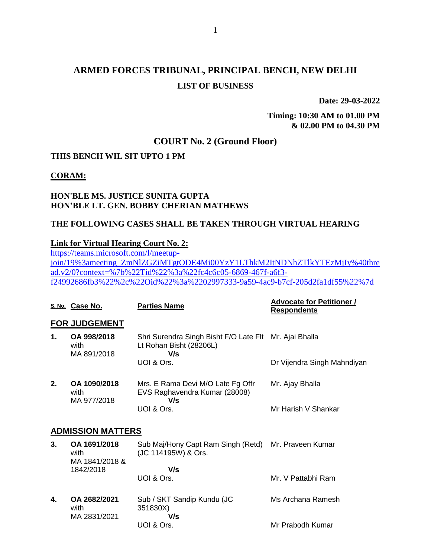# **ARMED FORCES TRIBUNAL, PRINCIPAL BENCH, NEW DELHI LIST OF BUSINESS**

**Date: 29-03-2022**

**Timing: 10:30 AM to 01.00 PM & 02.00 PM to 04.30 PM**

## **COURT No. 2 (Ground Floor)**

## **THIS BENCH WIL SIT UPTO 1 PM**

**CORAM:**

## **HON'BLE MS. JUSTICE SUNITA GUPTA HON'BLE LT. GEN. BOBBY CHERIAN MATHEWS**

### **THE FOLLOWING CASES SHALL BE TAKEN THROUGH VIRTUAL HEARING**

### **Link for Virtual Hearing Court No. 2:**

[https://teams.microsoft.com/l/meetup](https://teams.microsoft.com/l/meetup-join/19%3ameeting_ZmNlZGZiMTgtODE4Mi00YzY1LThkM2ItNDNhZTlkYTEzMjIy%40thread.v2/0?context=%7b%22Tid%22%3a%22fc4c6c05-6869-467f-a6f3-f24992686fb3%22%2c%22Oid%22%3a%2202997333-9a59-4ac9-b7cf-205d2fa1df55%22%7d)[join/19%3ameeting\\_ZmNlZGZiMTgtODE4Mi00YzY1LThkM2ItNDNhZTlkYTEzMjIy%40thre](https://teams.microsoft.com/l/meetup-join/19%3ameeting_ZmNlZGZiMTgtODE4Mi00YzY1LThkM2ItNDNhZTlkYTEzMjIy%40thread.v2/0?context=%7b%22Tid%22%3a%22fc4c6c05-6869-467f-a6f3-f24992686fb3%22%2c%22Oid%22%3a%2202997333-9a59-4ac9-b7cf-205d2fa1df55%22%7d) [ad.v2/0?context=%7b%22Tid%22%3a%22fc4c6c05-6869-467f-a6f3](https://teams.microsoft.com/l/meetup-join/19%3ameeting_ZmNlZGZiMTgtODE4Mi00YzY1LThkM2ItNDNhZTlkYTEzMjIy%40thread.v2/0?context=%7b%22Tid%22%3a%22fc4c6c05-6869-467f-a6f3-f24992686fb3%22%2c%22Oid%22%3a%2202997333-9a59-4ac9-b7cf-205d2fa1df55%22%7d) [f24992686fb3%22%2c%22Oid%22%3a%2202997333-9a59-4ac9-b7cf-205d2fa1df55%22%7d](https://teams.microsoft.com/l/meetup-join/19%3ameeting_ZmNlZGZiMTgtODE4Mi00YzY1LThkM2ItNDNhZTlkYTEzMjIy%40thread.v2/0?context=%7b%22Tid%22%3a%22fc4c6c05-6869-467f-a6f3-f24992686fb3%22%2c%22Oid%22%3a%2202997333-9a59-4ac9-b7cf-205d2fa1df55%22%7d)

|    | S. No. Case No.                        | <b>Parties Name</b>                                                                      | <b>Advocate for Petitioner /</b><br><b>Respondents</b> |
|----|----------------------------------------|------------------------------------------------------------------------------------------|--------------------------------------------------------|
|    | <b>FOR JUDGEMENT</b>                   |                                                                                          |                                                        |
| 1. | OA 998/2018<br>with<br>MA 891/2018     | Shri Surendra Singh Bisht F/O Late Flt Mr. Ajai Bhalla<br>Lt Rohan Bisht (28206L)<br>V/s |                                                        |
|    |                                        | UOI & Ors.                                                                               | Dr Vijendra Singh Mahndiyan                            |
| 2. | OA 1090/2018<br>with<br>MA 977/2018    | Mrs. E Rama Devi M/O Late Fg Offr<br>EVS Raghavendra Kumar (28008)<br>V/s                | Mr. Ajay Bhalla                                        |
|    |                                        | UOI & Ors.                                                                               | Mr Harish V Shankar                                    |
|    | <b>ADMISSION MATTERS</b>               |                                                                                          |                                                        |
| 3. | OA 1691/2018<br>with<br>MA 1841/2018 & | Sub Maj/Hony Capt Ram Singh (Retd)<br>(JC 114195W) & Ors.                                | Mr. Praveen Kumar                                      |
|    | 1842/2018                              | V/s                                                                                      |                                                        |
|    |                                        | UOI & Ors.                                                                               | Mr. V Pattabhi Ram                                     |
| 4. | OA 2682/2021<br>with                   | Sub / SKT Sandip Kundu (JC<br>351830X)                                                   | Ms Archana Ramesh                                      |
|    | MA 2831/2021                           | V/s<br>UOI & Ors.                                                                        | Mr Prabodh Kumar                                       |
|    |                                        |                                                                                          |                                                        |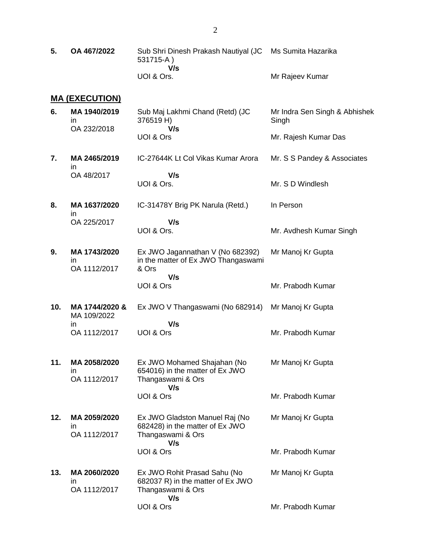**5. OA 467/2022** Sub Shri Dinesh Prakash Nautiyal (JC 531715-A )  **V/s** UOI & Ors. Ms Sumita Hazarika Mr Rajeev Kumar

#### **MA (EXECUTION)**

| 6. | MA 1940/2019 | Sub Maj Lakhmi Chand (Retd) (JC<br>376519 H) | Mr Indra Sen Singh & Abhishek<br>Singh |
|----|--------------|----------------------------------------------|----------------------------------------|
|    | OA 232/2018  | V/s                                          |                                        |
|    |              | UOI & Ors                                    | Mr. Rajesh Kumar Das                   |

**7. MA 2465/2019** in OA 48/2017 IC-27644K Lt Col Vikas Kumar Arora  **V/s** UOI & Ors. Mr. S S Pandey & Associates Mr. S D Windlesh

Mr. Avdhesh Kumar Singh

**8. MA 1637/2020** in OA 225/2017 IC-31478Y Brig PK Narula (Retd.)  **V/s** In Person

UOI & Ors.

- **9. MA 1743/2020** in OA 1112/2017 Ex JWO Jagannathan V (No 682392) in the matter of Ex JWO Thangaswami & Ors  **V/s** UOI & Ors Mr Manoj Kr Gupta Mr. Prabodh Kumar
- **10. MA 1744/2020 &** MA 109/2022 in OA 1112/2017 Ex JWO V Thangaswami (No 682914)  **V/s** UOI & Ors Mr Manoj Kr Gupta Mr. Prabodh Kumar
- **11. MA 2058/2020** in OA 1112/2017 Ex JWO Mohamed Shajahan (No 654016) in the matter of Ex JWO Thangaswami & Ors  **V/s** UOI & Ors Mr Manoj Kr Gupta Mr. Prabodh Kumar
- **12. MA 2059/2020** in OA 1112/2017 Ex JWO Gladston Manuel Raj (No 682428) in the matter of Ex JWO Thangaswami & Ors  **V/s** UOI & Ors Mr Manoj Kr Gupta Mr. Prabodh Kumar

**13. MA 2060/2020** in OA 1112/2017 Ex JWO Rohit Prasad Sahu (No 682037 R) in the matter of Ex JWO Thangaswami & Ors  **V/s** UOI & Ors Mr Manoj Kr Gupta Mr. Prabodh Kumar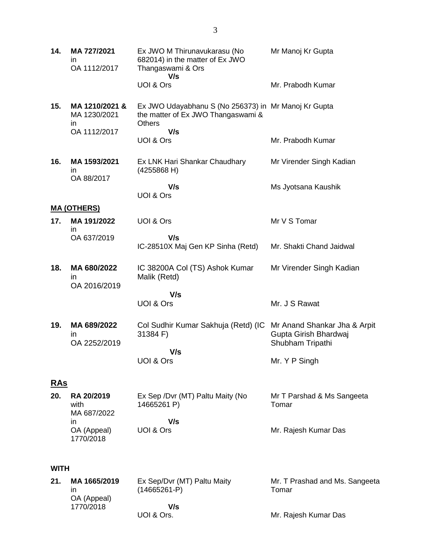| 14.         | MA 727/2021<br>ın<br>OA 1112/2017                    | Ex JWO M Thirunavukarasu (No<br>682014) in the matter of Ex JWO<br>Thangaswami & Ors                                            | Mr Manoj Kr Gupta                                                         |
|-------------|------------------------------------------------------|---------------------------------------------------------------------------------------------------------------------------------|---------------------------------------------------------------------------|
|             |                                                      | V/s<br>UOI & Ors                                                                                                                | Mr. Prabodh Kumar                                                         |
| 15.         | MA 1210/2021 &<br>MA 1230/2021<br>in<br>OA 1112/2017 | Ex JWO Udayabhanu S (No 256373) in Mr Manoj Kr Gupta<br>the matter of Ex JWO Thangaswami &<br><b>Others</b><br>V/s<br>UOI & Ors | Mr. Prabodh Kumar                                                         |
|             |                                                      |                                                                                                                                 |                                                                           |
| 16.         | MA 1593/2021<br>ın<br>OA 88/2017                     | Ex LNK Hari Shankar Chaudhary<br>(4255868 H)                                                                                    | Mr Virender Singh Kadian                                                  |
|             |                                                      | V/s<br>UOI & Ors                                                                                                                | Ms Jyotsana Kaushik                                                       |
|             | <b>MA (OTHERS)</b>                                   |                                                                                                                                 |                                                                           |
| 17.         | MA 191/2022                                          | UOI & Ors                                                                                                                       | Mr V S Tomar                                                              |
|             | in<br>OA 637/2019                                    | V/s<br>IC-28510X Maj Gen KP Sinha (Retd)                                                                                        | Mr. Shakti Chand Jaidwal                                                  |
| 18.         | MA 680/2022<br>ın<br>OA 2016/2019                    | IC 38200A Col (TS) Ashok Kumar<br>Malik (Retd)                                                                                  | Mr Virender Singh Kadian                                                  |
|             |                                                      | V/s                                                                                                                             |                                                                           |
|             |                                                      | UOI & Ors                                                                                                                       | Mr. J S Rawat                                                             |
| 19.         | MA 689/2022<br>ın<br>OA 2252/2019                    | Col Sudhir Kumar Sakhuja (Retd) (IC<br>31384 F)                                                                                 | Mr Anand Shankar Jha & Arpit<br>Gupta Girish Bhardwaj<br>Shubham Tripathi |
|             |                                                      | V/s<br>UOI & Ors                                                                                                                | Mr. Y P Singh                                                             |
| <u>RAs</u>  |                                                      |                                                                                                                                 |                                                                           |
| 20.         | RA 20/2019<br>with<br>MA 687/2022                    | Ex Sep /Dvr (MT) Paltu Maity (No<br>14665261 P)                                                                                 | Mr T Parshad & Ms Sangeeta<br>Tomar                                       |
|             | in<br>OA (Appeal)<br>1770/2018                       | V/s<br>UOI & Ors                                                                                                                | Mr. Rajesh Kumar Das                                                      |
|             |                                                      |                                                                                                                                 |                                                                           |
| <b>WITH</b> |                                                      |                                                                                                                                 |                                                                           |
| 21.         | MA 1665/2019<br>ın<br>OA (Appeal)<br>1770/2018       | Ex Sep/Dvr (MT) Paltu Maity<br>$(14665261-P)$<br>V/s                                                                            | Mr. T Prashad and Ms. Sangeeta<br>Tomar                                   |

Mr. Rajesh Kumar Das

UOI & Ors.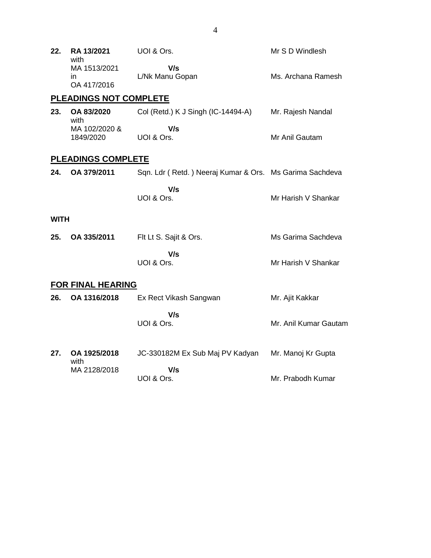| 22.         | RA 13/2021<br>with                | UOI & Ors.                                              | Mr S D Windlesh       |
|-------------|-----------------------------------|---------------------------------------------------------|-----------------------|
|             | MA 1513/2021<br>in<br>OA 417/2016 | V/s<br>L/Nk Manu Gopan                                  | Ms. Archana Ramesh    |
|             | <b>PLEADINGS NOT COMPLETE</b>     |                                                         |                       |
| 23.         | OA 83/2020<br>with                | Col (Retd.) K J Singh (IC-14494-A)                      | Mr. Rajesh Nandal     |
|             | MA 102/2020 &<br>1849/2020        | V/s<br>UOI & Ors.                                       | Mr Anil Gautam        |
|             | <b>PLEADINGS COMPLETE</b>         |                                                         |                       |
| 24.         | OA 379/2011                       | Sqn. Ldr (Retd.) Neeraj Kumar & Ors. Ms Garima Sachdeva |                       |
|             |                                   | V/s<br>UOI & Ors.                                       | Mr Harish V Shankar   |
| <b>WITH</b> |                                   |                                                         |                       |
| 25.         | OA 335/2011                       | Flt Lt S. Sajit & Ors.                                  | Ms Garima Sachdeva    |
|             |                                   | V/s<br>UOI & Ors.                                       | Mr Harish V Shankar   |
|             | <b>FOR FINAL HEARING</b>          |                                                         |                       |
| 26.         | OA 1316/2018                      | Ex Rect Vikash Sangwan                                  | Mr. Ajit Kakkar       |
|             |                                   | V/s<br>UOI & Ors.                                       | Mr. Anil Kumar Gautam |
| 27.         | OA 1925/2018<br>with              | JC-330182M Ex Sub Maj PV Kadyan                         | Mr. Manoj Kr Gupta    |
|             | MA 2128/2018                      | V/s<br>UOI & Ors.                                       | Mr. Prabodh Kumar     |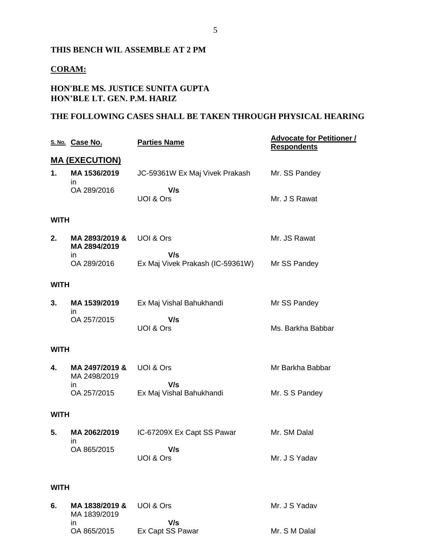### **THIS BENCH WIL ASSEMBLE AT 2 PM**

## **CORAM:**

## **HON'BLE MS. JUSTICE SUNITA GUPTA HON'BLE LT. GEN. P.M. HARIZ**

### **THE FOLLOWING CASES SHALL BE TAKEN THROUGH PHYSICAL HEARING**

|             | S. No. Case No.                | <b>Parties Name</b>                     | <b>Advocate for Petitioner /</b><br><b>Respondents</b> |
|-------------|--------------------------------|-----------------------------------------|--------------------------------------------------------|
|             | <b>MA (EXECUTION)</b>          |                                         |                                                        |
| 1.          | MA 1536/2019<br>in             | JC-59361W Ex Maj Vivek Prakash          | Mr. SS Pandey                                          |
|             | OA 289/2016                    | V/s<br>UOI & Ors                        | Mr. J S Rawat                                          |
| <b>WITH</b> |                                |                                         |                                                        |
| 2.          | MA 2893/2019 &<br>MA 2894/2019 | UOI & Ors                               | Mr. JS Rawat                                           |
|             | in.<br>OA 289/2016             | V/s<br>Ex Maj Vivek Prakash (IC-59361W) | Mr SS Pandey                                           |
| <b>WITH</b> |                                |                                         |                                                        |
| 3.          | MA 1539/2019<br>in             | Ex Maj Vishal Bahukhandi                | Mr SS Pandey                                           |
|             | OA 257/2015                    | V/s<br>UOI & Ors                        | Ms. Barkha Babbar                                      |
| <b>WITH</b> |                                |                                         |                                                        |
| 4.          | MA 2497/2019 &<br>MA 2498/2019 | UOI & Ors                               | Mr Barkha Babbar                                       |
|             | in.<br>OA 257/2015             | V/s<br>Ex Maj Vishal Bahukhandi         | Mr. S S Pandey                                         |
| <b>WITH</b> |                                |                                         |                                                        |
| 5.          | MA 2062/2019<br>ın             | IC-67209X Ex Capt SS Pawar              | Mr. SM Dalal                                           |
|             | OA 865/2015                    | V/s<br>UOI & Ors                        | Mr. J S Yadav                                          |
| <b>WITH</b> |                                |                                         |                                                        |
| 6.          | MA 1838/2019 & UOI & Ors       |                                         | Mr. J S Yadav                                          |

| 6. | MA 1838/2019 & UOI & Ors<br>MA 1839/2019 |                  | Mr. J S Yadav |
|----|------------------------------------------|------------------|---------------|
|    |                                          | V/s              |               |
|    | OA 865/2015                              | Ex Capt SS Pawar | Mr. S M Dalal |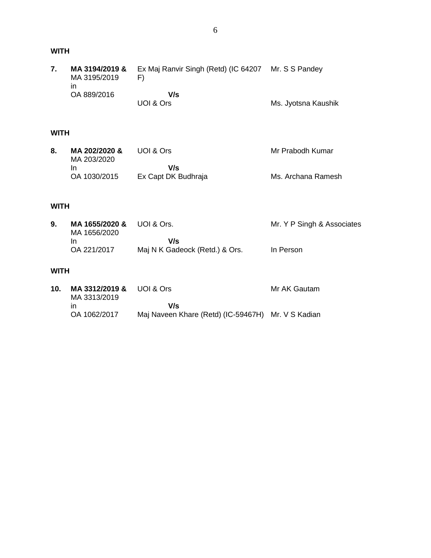| MA 3194/2019 &<br>MA 3195/2019 | Ex Maj Ranvir Singh (Retd) (IC 64207 Mr. S S Pandey |                     |
|--------------------------------|-----------------------------------------------------|---------------------|
| ın<br>OA 889/2016              | V/s                                                 |                     |
|                                | UOI & Ors                                           | Ms. Jyotsna Kaushik |

#### **WITH**

| MA 202/2020 &<br>MA 203/2020 | UOI & Ors           | Mr Prabodh Kumar   |
|------------------------------|---------------------|--------------------|
|                              | V/s                 |                    |
| OA 1030/2015                 | Ex Capt DK Budhraja | Ms. Archana Ramesh |

### **WITH**

| MA 1655/2020 & UOI & Ors.<br>MA 1656/2020 |                                | Mr. Y P Singh & Associates |
|-------------------------------------------|--------------------------------|----------------------------|
| In                                        | V/s                            |                            |
| OA 221/2017                               | Maj N K Gadeock (Retd.) & Ors. | In Person                  |

## **WITH**

**10. MA 3312/2019 &** UOI & Ors MA 3313/2019 in OA 1062/2017  **V/s** Maj Naveen Khare (Retd) (IC-59467H) Mr. V S KadianMr AK Gautam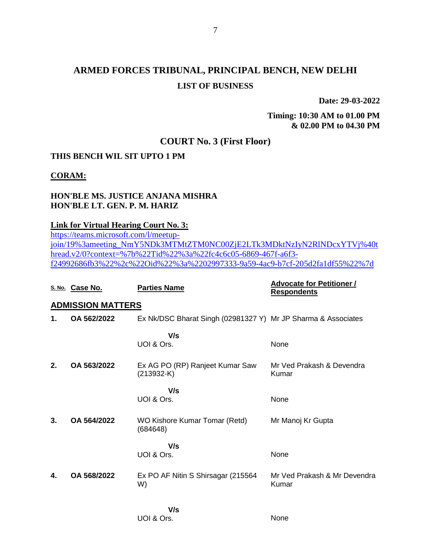# **ARMED FORCES TRIBUNAL, PRINCIPAL BENCH, NEW DELHI LIST OF BUSINESS**

**Date: 29-03-2022**

**Timing: 10:30 AM to 01.00 PM & 02.00 PM to 04.30 PM**

## **COURT No. 3 (First Floor)**

### **THIS BENCH WIL SIT UPTO 1 PM**

**CORAM:**

## **HON'BLE MS. JUSTICE ANJANA MISHRA HON'BLE LT. GEN. P. M. HARIZ**

#### **Link for Virtual Hearing Court No. 3:**

[https://teams.microsoft.com/l/meetup](https://teams.microsoft.com/l/meetup-join/19%3ameeting_NmY5NDk3MTMtZTM0NC00ZjE2LTk3MDktNzIyN2RlNDcxYTVj%40thread.v2/0?context=%7b%22Tid%22%3a%22fc4c6c05-6869-467f-a6f3-f24992686fb3%22%2c%22Oid%22%3a%2202997333-9a59-4ac9-b7cf-205d2fa1df55%22%7d)[join/19%3ameeting\\_NmY5NDk3MTMtZTM0NC00ZjE2LTk3MDktNzIyN2RlNDcxYTVj%40t](https://teams.microsoft.com/l/meetup-join/19%3ameeting_NmY5NDk3MTMtZTM0NC00ZjE2LTk3MDktNzIyN2RlNDcxYTVj%40thread.v2/0?context=%7b%22Tid%22%3a%22fc4c6c05-6869-467f-a6f3-f24992686fb3%22%2c%22Oid%22%3a%2202997333-9a59-4ac9-b7cf-205d2fa1df55%22%7d) [hread.v2/0?context=%7b%22Tid%22%3a%22fc4c6c05-6869-467f-a6f3](https://teams.microsoft.com/l/meetup-join/19%3ameeting_NmY5NDk3MTMtZTM0NC00ZjE2LTk3MDktNzIyN2RlNDcxYTVj%40thread.v2/0?context=%7b%22Tid%22%3a%22fc4c6c05-6869-467f-a6f3-f24992686fb3%22%2c%22Oid%22%3a%2202997333-9a59-4ac9-b7cf-205d2fa1df55%22%7d) [f24992686fb3%22%2c%22Oid%22%3a%2202997333-9a59-4ac9-b7cf-205d2fa1df55%22%7d](https://teams.microsoft.com/l/meetup-join/19%3ameeting_NmY5NDk3MTMtZTM0NC00ZjE2LTk3MDktNzIyN2RlNDcxYTVj%40thread.v2/0?context=%7b%22Tid%22%3a%22fc4c6c05-6869-467f-a6f3-f24992686fb3%22%2c%22Oid%22%3a%2202997333-9a59-4ac9-b7cf-205d2fa1df55%22%7d)

|    | S. No. Case No.          | <b>Parties Name</b>                                           | <b>Advocate for Petitioner /</b><br><b>Respondents</b> |
|----|--------------------------|---------------------------------------------------------------|--------------------------------------------------------|
|    | <b>ADMISSION MATTERS</b> |                                                               |                                                        |
| 1. | OA 562/2022              | Ex Nk/DSC Bharat Singh (02981327 Y) Mr JP Sharma & Associates |                                                        |
|    |                          | V/s                                                           |                                                        |
|    |                          | UOI & Ors.                                                    | None                                                   |
| 2. | OA 563/2022              | Ex AG PO (RP) Ranjeet Kumar Saw<br>$(213932-K)$               | Mr Ved Prakash & Devendra<br>Kumar                     |
|    |                          | V/s                                                           |                                                        |
|    |                          | UOI & Ors.                                                    | None                                                   |
| 3. | OA 564/2022              | WO Kishore Kumar Tomar (Retd)<br>(684648)                     | Mr Manoj Kr Gupta                                      |
|    |                          | V/s                                                           |                                                        |
|    |                          | UOI & Ors.                                                    | None                                                   |
| 4. | OA 568/2022              | Ex PO AF Nitin S Shirsagar (215564<br>W)                      | Mr Ved Prakash & Mr Devendra<br>Kumar                  |
|    |                          | V/s                                                           |                                                        |
|    |                          | UOI & Ors.                                                    | None                                                   |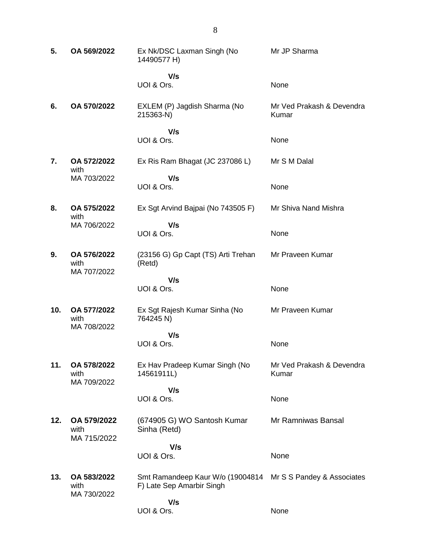**5. OA 569/2022** Ex Nk/DSC Laxman Singh (No 14490577 H)  **V/s** UOI & Ors. Mr JP Sharma None **6. OA 570/2022** EXLEM (P) Jagdish Sharma (No 215363-N)  **V/s** UOI & Ors. Mr Ved Prakash & Devendra Kumar None **7. OA 572/2022** with MA 703/2022 Ex Ris Ram Bhagat (JC 237086 L)  **V/s** UOI & Ors. Mr S M Dalal None **8. OA 575/2022** with MA 706/2022 Ex Sgt Arvind Bajpai (No 743505 F)  **V/s** UOI & Ors. Mr Shiva Nand Mishra None **9. OA 576/2022** with MA 707/2022 (23156 G) Gp Capt (TS) Arti Trehan (Retd)  **V/s** UOI & Ors. Mr Praveen Kumar None **10. OA 577/2022** with MA 708/2022 Ex Sgt Rajesh Kumar Sinha (No 764245 N)  **V/s** UOI & Ors. Mr Praveen Kumar None **11. OA 578/2022** with MA 709/2022 Ex Hav Pradeep Kumar Singh (No 14561911L)  **V/s** UOI & Ors. Mr Ved Prakash & Devendra Kumar None **12. OA 579/2022** with MA 715/2022 (674905 G) WO Santosh Kumar Sinha (Retd)  **V/s** UOI & Ors. Mr Ramniwas Bansal None **13. OA 583/2022** with MA 730/2022 Smt Ramandeep Kaur W/o (19004814 Mr S S Pandey & Associates F) Late Sep Amarbir Singh  **V/s** UOI & Ors. None